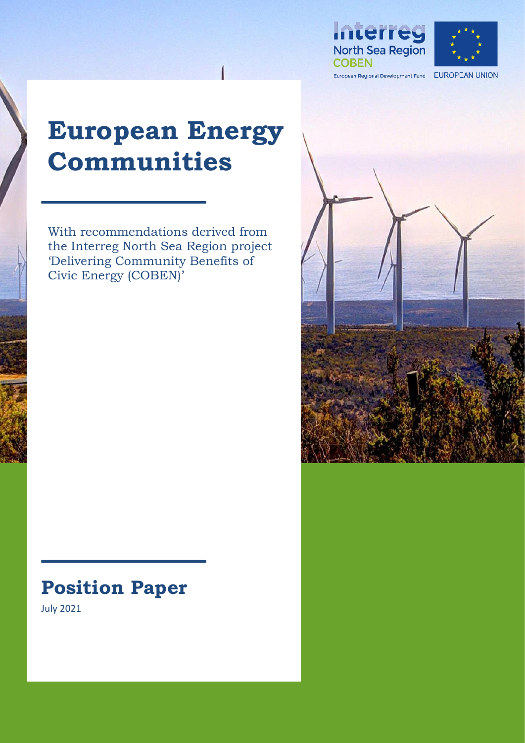



European Regional Development Fund EUROPEAN UNION

# **European Energy Communities**

With recommendations derived from the Interreg North Sea Region project 'Delivering Community Benefits of Civic Energy (COBEN)'

# **Position Paper**

**[Dieses Foto"](https://en.wikipedia.org/wiki/Renewable_energy_in_Chile) von Unbekannter Autor ist lizenziert gemäß [CC BY-SA](https://creativecommons.org/licenses/by-sa/3.0/)**

July 2021

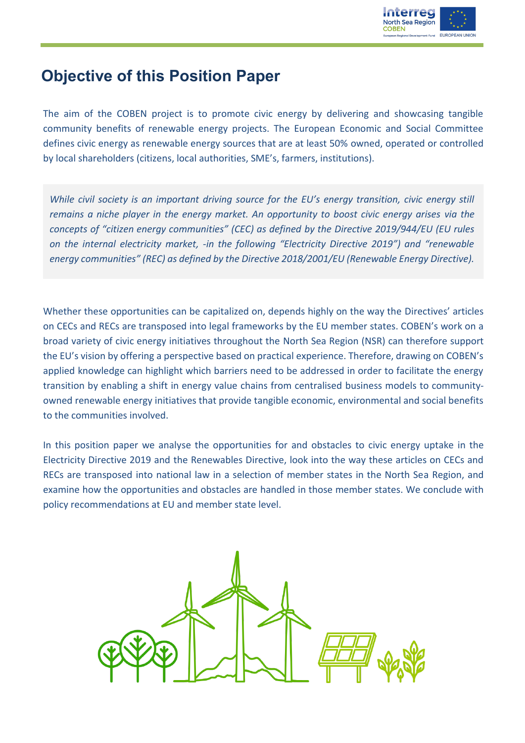

### **Objective of this Position Paper**

The aim of the COBEN project is to promote civic energy by delivering and showcasing tangible community benefits of renewable energy projects. The European Economic and Social Committee defines civic energy as renewable energy sources that are at least 50% owned, operated or controlled by local shareholders (citizens, local authorities, SME's, farmers, institutions).

*While civil society is an important driving source for the EU's energy transition, civic energy still remains a niche player in the energy market. An opportunity to boost civic energy arises via the concepts of "citizen energy communities" (CEC) as defined by the Directive 2019/944/EU (EU rules on the internal electricity market, -in the following "Electricity Directive 2019") and "renewable energy communities" (REC) as defined by the Directive 2018/2001/EU (Renewable Energy Directive).*

Whether these opportunities can be capitalized on, depends highly on the way the Directives' articles on CECs and RECs are transposed into legal frameworks by the EU member states. COBEN's work on a broad variety of civic energy initiatives throughout the North Sea Region (NSR) can therefore support the EU's vision by offering a perspective based on practical experience. Therefore, drawing on COBEN's applied knowledge can highlight which barriers need to be addressed in order to facilitate the energy transition by enabling a shift in energy value chains from centralised business models to communityowned renewable energy initiatives that provide tangible economic, environmental and social benefits to the communities involved.

In this position paper we analyse the opportunities for and obstacles to civic energy uptake in the Electricity Directive 2019 and the Renewables Directive, look into the way these articles on CECs and RECs are transposed into national law in a selection of member states in the North Sea Region, and examine how the opportunities and obstacles are handled in those member states. We conclude with policy recommendations at EU and member state level.

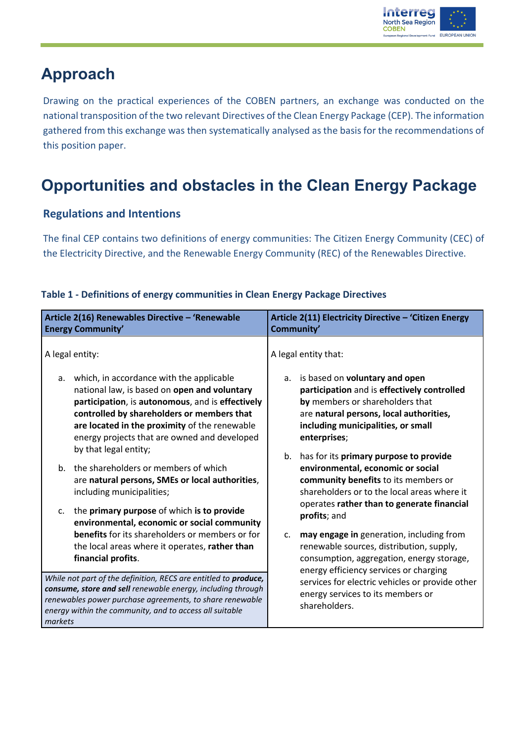

## **Approach**

Drawing on the practical experiences of the COBEN partners, an exchange was conducted on the national transposition of the two relevant Directives of the Clean Energy Package (CEP). The information gathered from this exchange was then systematically analysed as the basis for the recommendations of this position paper.

# **Opportunities and obstacles in the Clean Energy Package**

### **Regulations and Intentions**

The final CEP contains two definitions of energy communities: The Citizen Energy Community (CEC) of the Electricity Directive, and the Renewable Energy Community (REC) of the Renewables Directive.

| Article 2(16) Renewables Directive - 'Renewable                                                                                                                                                                                                                  | Article 2(11) Electricity Directive - 'Citizen Energy                                                                                                                    |
|------------------------------------------------------------------------------------------------------------------------------------------------------------------------------------------------------------------------------------------------------------------|--------------------------------------------------------------------------------------------------------------------------------------------------------------------------|
| <b>Energy Community'</b>                                                                                                                                                                                                                                         | Community'                                                                                                                                                               |
| A legal entity:                                                                                                                                                                                                                                                  | A legal entity that:                                                                                                                                                     |
| which, in accordance with the applicable                                                                                                                                                                                                                         | is based on voluntary and open                                                                                                                                           |
| а.                                                                                                                                                                                                                                                               | а.                                                                                                                                                                       |
| national law, is based on open and voluntary                                                                                                                                                                                                                     | participation and is effectively controlled                                                                                                                              |
| participation, is autonomous, and is effectively                                                                                                                                                                                                                 | by members or shareholders that                                                                                                                                          |
| controlled by shareholders or members that                                                                                                                                                                                                                       | are natural persons, local authorities,                                                                                                                                  |
| are located in the proximity of the renewable                                                                                                                                                                                                                    | including municipalities, or small                                                                                                                                       |
| energy projects that are owned and developed                                                                                                                                                                                                                     | enterprises;                                                                                                                                                             |
| by that legal entity;<br>b. the shareholders or members of which<br>are natural persons, SMEs or local authorities,<br>including municipalities;                                                                                                                 | b.<br>has for its primary purpose to provide<br>environmental, economic or social<br>community benefits to its members or<br>shareholders or to the local areas where it |
| the primary purpose of which is to provide                                                                                                                                                                                                                       | operates rather than to generate financial                                                                                                                               |
| $\mathsf{C}$ .                                                                                                                                                                                                                                                   | profits; and                                                                                                                                                             |
| environmental, economic or social community                                                                                                                                                                                                                      | may engage in generation, including from                                                                                                                                 |
| <b>benefits</b> for its shareholders or members or for                                                                                                                                                                                                           | c.                                                                                                                                                                       |
| the local areas where it operates, rather than                                                                                                                                                                                                                   | renewable sources, distribution, supply,                                                                                                                                 |
| financial profits.                                                                                                                                                                                                                                               | consumption, aggregation, energy storage,                                                                                                                                |
| While not part of the definition, RECS are entitled to produce,<br>consume, store and sell renewable energy, including through<br>renewables power purchase agreements, to share renewable<br>energy within the community, and to access all suitable<br>markets | energy efficiency services or charging<br>services for electric vehicles or provide other<br>energy services to its members or<br>shareholders.                          |

### **Table 1 - Definitions of energy communities in Clean Energy Package Directives**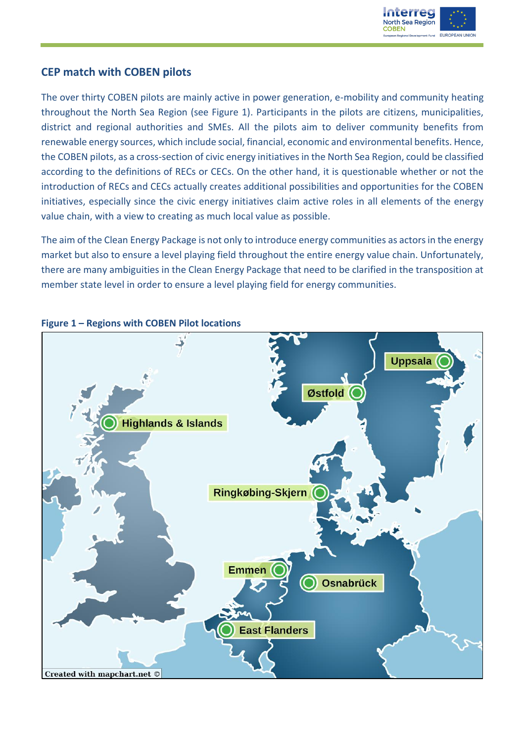

### **CEP match with COBEN pilots**

The over thirty COBEN pilots are mainly active in power generation, e-mobility and community heating throughout the North Sea Region (see Figure 1). Participants in the pilots are citizens, municipalities, district and regional authorities and SMEs. All the pilots aim to deliver community benefits from renewable energy sources, which include social, financial, economic and environmental benefits. Hence, the COBEN pilots, as a cross-section of civic energy initiatives in the North Sea Region, could be classified according to the definitions of RECs or CECs. On the other hand, it is questionable whether or not the introduction of RECs and CECs actually creates additional possibilities and opportunities for the COBEN initiatives, especially since the civic energy initiatives claim active roles in all elements of the energy value chain, with a view to creating as much local value as possible.

The aim of the Clean Energy Package is not only to introduce energy communities as actors in the energy market but also to ensure a level playing field throughout the entire energy value chain. Unfortunately, there are many ambiguities in the Clean Energy Package that need to be clarified in the transposition at member state level in order to ensure a level playing field for energy communities.



### **Figure 1 – Regions with COBEN Pilot locations**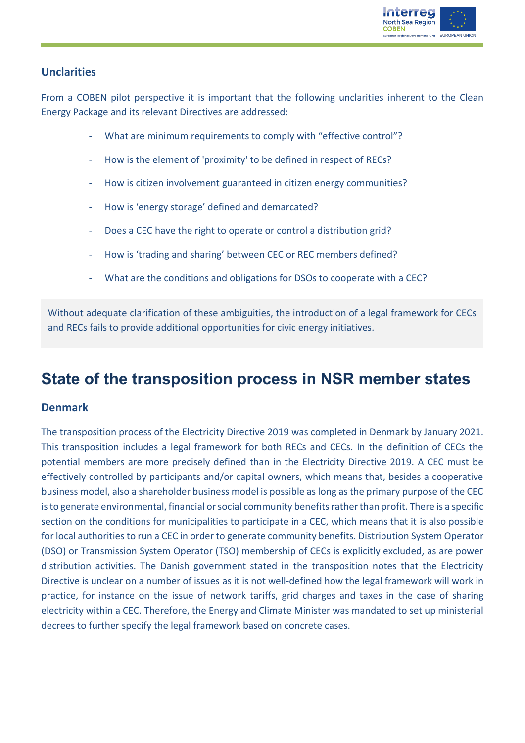

### **Unclarities**

From a COBEN pilot perspective it is important that the following unclarities inherent to the Clean Energy Package and its relevant Directives are addressed:

- What are minimum requirements to comply with "effective control"?
- How is the element of 'proximity' to be defined in respect of RECs?
- How is citizen involvement guaranteed in citizen energy communities?
- How is 'energy storage' defined and demarcated?
- Does a CEC have the right to operate or control a distribution grid?
- How is 'trading and sharing' between CEC or REC members defined?
- What are the conditions and obligations for DSOs to cooperate with a CEC?

Without adequate clarification of these ambiguities, the introduction of a legal framework for CECs and RECs fails to provide additional opportunities for civic energy initiatives.

### **State of the transposition process in NSR member states**

### **Denmark**

The transposition process of the Electricity Directive 2019 was completed in Denmark by January 2021. This transposition includes a legal framework for both RECs and CECs. In the definition of CECs the potential members are more precisely defined than in the Electricity Directive 2019. A CEC must be effectively controlled by participants and/or capital owners, which means that, besides a cooperative business model, also a shareholder business model is possible as long as the primary purpose of the CEC is to generate environmental, financial or social community benefits rather than profit. There is a specific section on the conditions for municipalities to participate in a CEC, which means that it is also possible for local authorities to run a CEC in order to generate community benefits. Distribution System Operator (DSO) or Transmission System Operator (TSO) membership of CECs is explicitly excluded, as are power distribution activities. The Danish government stated in the transposition notes that the Electricity Directive is unclear on a number of issues as it is not well-defined how the legal framework will work in practice, for instance on the issue of network tariffs, grid charges and taxes in the case of sharing electricity within a CEC. Therefore, the Energy and Climate Minister was mandated to set up ministerial decrees to further specify the legal framework based on concrete cases.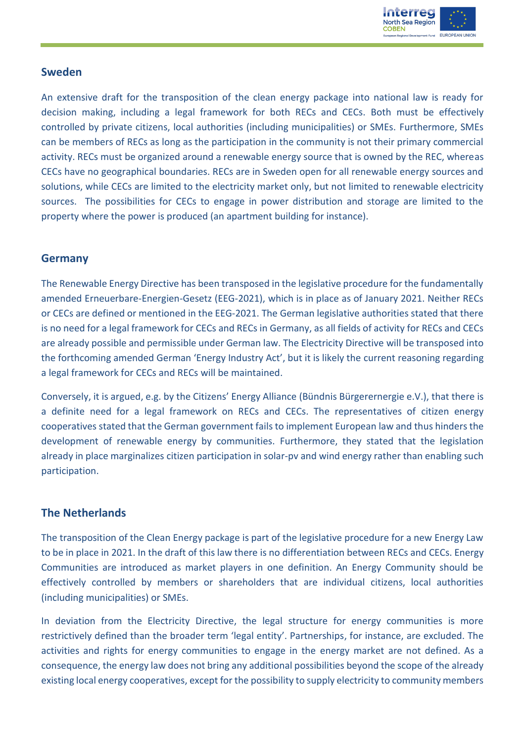

### **Sweden**

An extensive draft for the transposition of the clean energy package into national law is ready for decision making, including a legal framework for both RECs and CECs. Both must be effectively controlled by private citizens, local authorities (including municipalities) or SMEs. Furthermore, SMEs can be members of RECs as long as the participation in the community is not their primary commercial activity. RECs must be organized around a renewable energy source that is owned by the REC, whereas CECs have no geographical boundaries. RECs are in Sweden open for all renewable energy sources and solutions, while CECs are limited to the electricity market only, but not limited to renewable electricity sources. The possibilities for CECs to engage in power distribution and storage are limited to the property where the power is produced (an apartment building for instance).

### **Germany**

The Renewable Energy Directive has been transposed in the legislative procedure for the fundamentally amended Erneuerbare-Energien-Gesetz (EEG-2021), which is in place as of January 2021. Neither RECs or CECs are defined or mentioned in the EEG-2021. The German legislative authorities stated that there is no need for a legal framework for CECs and RECs in Germany, as all fields of activity for RECs and CECs are already possible and permissible under German law. The Electricity Directive will be transposed into the forthcoming amended German 'Energy Industry Act', but it is likely the current reasoning regarding a legal framework for CECs and RECs will be maintained.

Conversely, it is argued, e.g. by the Citizens' Energy Alliance (Bündnis Bürgerernergie e.V.), that there is a definite need for a legal framework on RECs and CECs. The representatives of citizen energy cooperatives stated that the German government fails to implement European law and thus hinders the development of renewable energy by communities. Furthermore, they stated that the legislation already in place marginalizes citizen participation in solar-pv and wind energy rather than enabling such participation.

### **The Netherlands**

The transposition of the Clean Energy package is part of the legislative procedure for a new Energy Law to be in place in 2021. In the draft of this law there is no differentiation between RECs and CECs. Energy Communities are introduced as market players in one definition. An Energy Community should be effectively controlled by members or shareholders that are individual citizens, local authorities (including municipalities) or SMEs.

In deviation from the Electricity Directive, the legal structure for energy communities is more restrictively defined than the broader term 'legal entity'. Partnerships, for instance, are excluded. The activities and rights for energy communities to engage in the energy market are not defined. As a consequence, the energy law does not bring any additional possibilities beyond the scope of the already existing local energy cooperatives, except for the possibility to supply electricity to community members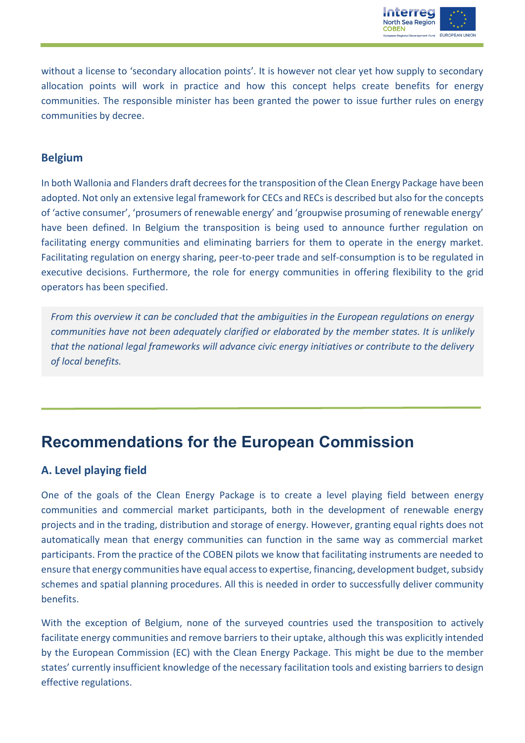

without a license to 'secondary allocation points'. It is however not clear yet how supply to secondary allocation points will work in practice and how this concept helps create benefits for energy communities. The responsible minister has been granted the power to issue further rules on energy communities by decree.

### **Belgium**

In both Wallonia and Flanders draft decrees for the transposition of the Clean Energy Package have been adopted. Not only an extensive legal framework for CECs and RECs is described but also for the concepts of 'active consumer', 'prosumers of renewable energy' and 'groupwise prosuming of renewable energy' have been defined. In Belgium the transposition is being used to announce further regulation on facilitating energy communities and eliminating barriers for them to operate in the energy market. Facilitating regulation on energy sharing, peer-to-peer trade and self-consumption is to be regulated in executive decisions. Furthermore, the role for energy communities in offering flexibility to the grid operators has been specified.

*From this overview it can be concluded that the ambiguities in the European regulations on energy communities have not been adequately clarified or elaborated by the member states. It is unlikely that the national legal frameworks will advance civic energy initiatives or contribute to the delivery of local benefits.*

### **Recommendations for the European Commission**

### **A. Level playing field**

One of the goals of the Clean Energy Package is to create a level playing field between energy communities and commercial market participants, both in the development of renewable energy projects and in the trading, distribution and storage of energy. However, granting equal rights does not automatically mean that energy communities can function in the same way as commercial market participants. From the practice of the COBEN pilots we know that facilitating instruments are needed to ensure that energy communities have equal access to expertise, financing, development budget, subsidy schemes and spatial planning procedures. All this is needed in order to successfully deliver community benefits.

With the exception of Belgium, none of the surveyed countries used the transposition to actively facilitate energy communities and remove barriers to their uptake, although this was explicitly intended by the European Commission (EC) with the Clean Energy Package. This might be due to the member states' currently insufficient knowledge of the necessary facilitation tools and existing barriers to design effective regulations.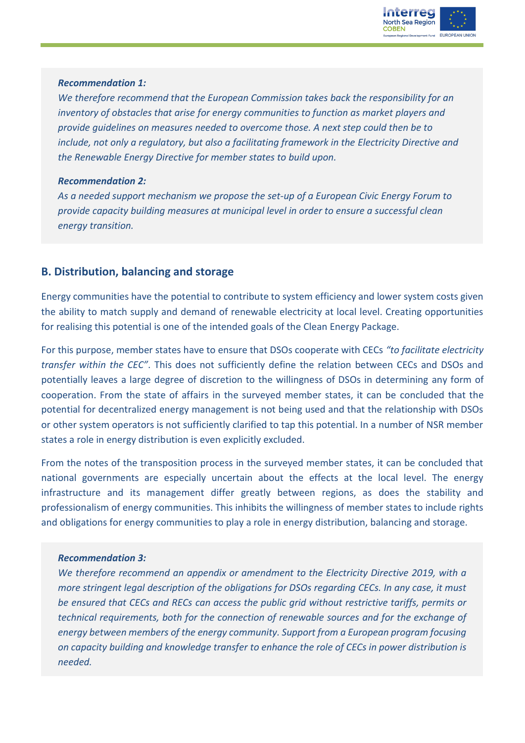

#### *Recommendation 1:*

*We therefore recommend that the European Commission takes back the responsibility for an inventory of obstacles that arise for energy communities to function as market players and provide guidelines on measures needed to overcome those. A next step could then be to include, not only a regulatory, but also a facilitating framework in the Electricity Directive and the Renewable Energy Directive for member states to build upon.*

#### *Recommendation 2:*

*As a needed support mechanism we propose the set-up of a European Civic Energy Forum to provide capacity building measures at municipal level in order to ensure a successful clean energy transition.*

### **B. Distribution, balancing and storage**

Energy communities have the potential to contribute to system efficiency and lower system costs given the ability to match supply and demand of renewable electricity at local level. Creating opportunities for realising this potential is one of the intended goals of the Clean Energy Package.

For this purpose, member states have to ensure that DSOs cooperate with CECs *"to facilitate electricity transfer within the CEC"*. This does not sufficiently define the relation between CECs and DSOs and potentially leaves a large degree of discretion to the willingness of DSOs in determining any form of cooperation. From the state of affairs in the surveyed member states, it can be concluded that the potential for decentralized energy management is not being used and that the relationship with DSOs or other system operators is not sufficiently clarified to tap this potential. In a number of NSR member states a role in energy distribution is even explicitly excluded.

From the notes of the transposition process in the surveyed member states, it can be concluded that national governments are especially uncertain about the effects at the local level. The energy infrastructure and its management differ greatly between regions, as does the stability and professionalism of energy communities. This inhibits the willingness of member states to include rights and obligations for energy communities to play a role in energy distribution, balancing and storage.

### *Recommendation 3:*

*We therefore recommend an appendix or amendment to the Electricity Directive 2019, with a more stringent legal description of the obligations for DSOs regarding CECs. In any case, it must be ensured that CECs and RECs can access the public grid without restrictive tariffs, permits or technical requirements, both for the connection of renewable sources and for the exchange of energy between members of the energy community. Support from a European program focusing on capacity building and knowledge transfer to enhance the role of CECs in power distribution is needed.*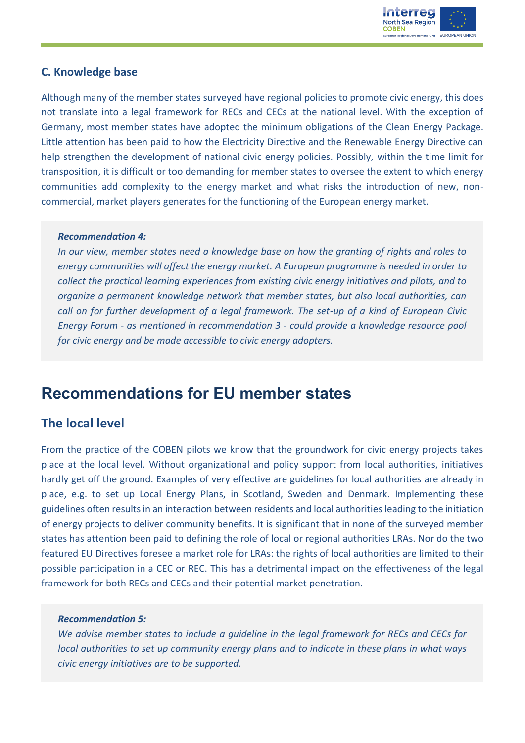

### **C. Knowledge base**

Although many of the member states surveyed have regional policies to promote civic energy, this does not translate into a legal framework for RECs and CECs at the national level. With the exception of Germany, most member states have adopted the minimum obligations of the Clean Energy Package. Little attention has been paid to how the Electricity Directive and the Renewable Energy Directive can help strengthen the development of national civic energy policies. Possibly, within the time limit for transposition, it is difficult or too demanding for member states to oversee the extent to which energy communities add complexity to the energy market and what risks the introduction of new, noncommercial, market players generates for the functioning of the European energy market.

#### *Recommendation 4:*

*In our view, member states need a knowledge base on how the granting of rights and roles to energy communities will affect the energy market. A European programme is needed in order to collect the practical learning experiences from existing civic energy initiatives and pilots, and to organize a permanent knowledge network that member states, but also local authorities, can call on for further development of a legal framework. The set-up of a kind of European Civic Energy Forum - as mentioned in recommendation 3 - could provide a knowledge resource pool for civic energy and be made accessible to civic energy adopters.* 

### **Recommendations for EU member states**

### **The local level**

From the practice of the COBEN pilots we know that the groundwork for civic energy projects takes place at the local level. Without organizational and policy support from local authorities, initiatives hardly get off the ground. Examples of very effective are guidelines for local authorities are already in place, e.g. to set up Local Energy Plans, in Scotland, Sweden and Denmark. Implementing these guidelines often results in an interaction between residents and local authorities leading to the initiation of energy projects to deliver community benefits. It is significant that in none of the surveyed member states has attention been paid to defining the role of local or regional authorities LRAs. Nor do the two featured EU Directives foresee a market role for LRAs: the rights of local authorities are limited to their possible participation in a CEC or REC. This has a detrimental impact on the effectiveness of the legal framework for both RECs and CECs and their potential market penetration.

#### *Recommendation 5:*

*We advise member states to include a guideline in the legal framework for RECs and CECs for local authorities to set up community energy plans and to indicate in these plans in what ways civic energy initiatives are to be supported.*